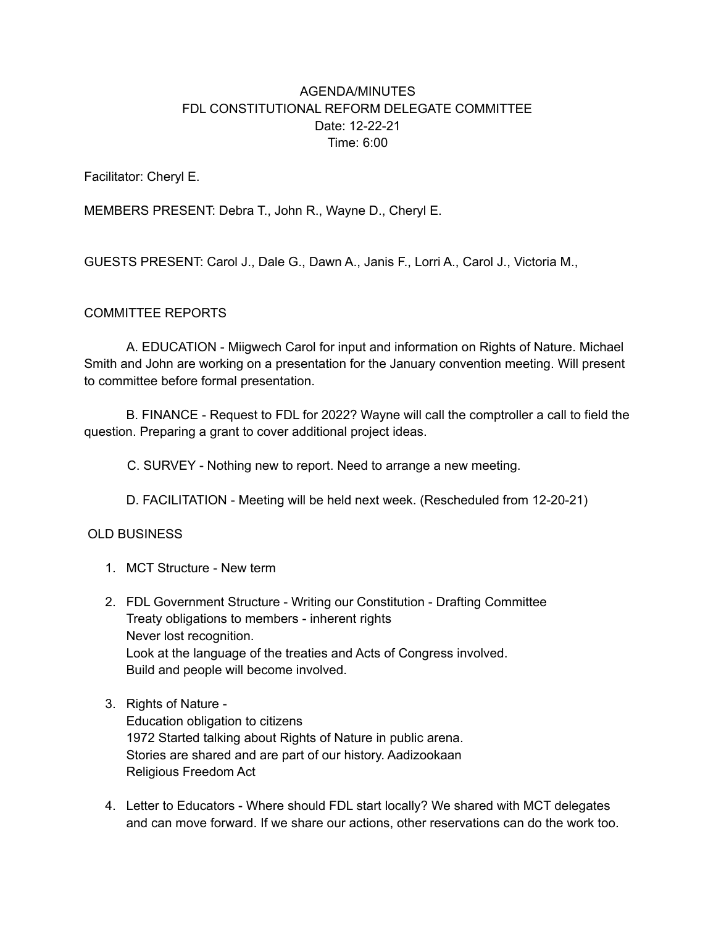# AGENDA/MINUTES FDL CONSTITUTIONAL REFORM DELEGATE COMMITTEE Date: 12-22-21 Time: 6:00

Facilitator: Cheryl E.

MEMBERS PRESENT: Debra T., John R., Wayne D., Cheryl E.

GUESTS PRESENT: Carol J., Dale G., Dawn A., Janis F., Lorri A., Carol J., Victoria M.,

### COMMITTEE REPORTS

A. EDUCATION - Miigwech Carol for input and information on Rights of Nature. Michael Smith and John are working on a presentation for the January convention meeting. Will present to committee before formal presentation.

B. FINANCE - Request to FDL for 2022? Wayne will call the comptroller a call to field the question. Preparing a grant to cover additional project ideas.

C. SURVEY - Nothing new to report. Need to arrange a new meeting.

D. FACILITATION - Meeting will be held next week. (Rescheduled from 12-20-21)

#### OLD BUSINESS

- 1. MCT Structure New term
- 2. FDL Government Structure Writing our Constitution Drafting Committee Treaty obligations to members - inherent rights Never lost recognition. Look at the language of the treaties and Acts of Congress involved. Build and people will become involved.

# 3. Rights of Nature -

Education obligation to citizens 1972 Started talking about Rights of Nature in public arena. Stories are shared and are part of our history. Aadizookaan Religious Freedom Act

4. Letter to Educators - Where should FDL start locally? We shared with MCT delegates and can move forward. If we share our actions, other reservations can do the work too.